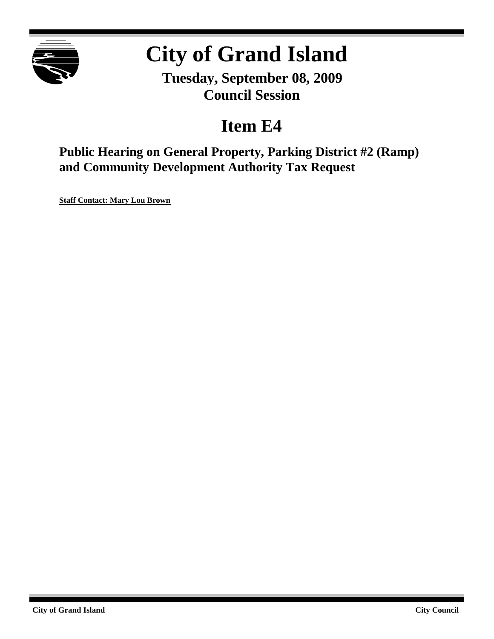

# **City of Grand Island**

**Tuesday, September 08, 2009 Council Session**

# **Item E4**

**Public Hearing on General Property, Parking District #2 (Ramp) and Community Development Authority Tax Request**

**Staff Contact: Mary Lou Brown**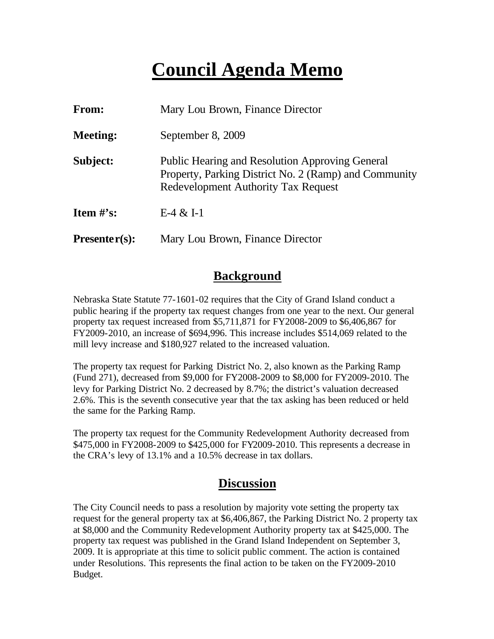# **Council Agenda Memo**

| From:           | Mary Lou Brown, Finance Director                                                                                                                              |
|-----------------|---------------------------------------------------------------------------------------------------------------------------------------------------------------|
| <b>Meeting:</b> | September 8, 2009                                                                                                                                             |
| Subject:        | <b>Public Hearing and Resolution Approving General</b><br>Property, Parking District No. 2 (Ramp) and Community<br><b>Redevelopment Authority Tax Request</b> |
| Item $\#$ 's:   | $E-4 & 1-1$                                                                                                                                                   |
| $Presenter(s):$ | Mary Lou Brown, Finance Director                                                                                                                              |

#### **Background**

Nebraska State Statute 77-1601-02 requires that the City of Grand Island conduct a public hearing if the property tax request changes from one year to the next. Our general property tax request increased from \$5,711,871 for FY2008-2009 to \$6,406,867 for FY2009-2010, an increase of \$694,996. This increase includes \$514,069 related to the mill levy increase and \$180,927 related to the increased valuation.

The property tax request for Parking District No. 2, also known as the Parking Ramp (Fund 271), decreased from \$9,000 for FY2008-2009 to \$8,000 for FY2009-2010. The levy for Parking District No. 2 decreased by 8.7%; the district's valuation decreased 2.6%. This is the seventh consecutive year that the tax asking has been reduced or held the same for the Parking Ramp.

The property tax request for the Community Redevelopment Authority decreased from \$475,000 in FY2008-2009 to \$425,000 for FY2009-2010. This represents a decrease in the CRA's levy of 13.1% and a 10.5% decrease in tax dollars.

#### **Discussion**

The City Council needs to pass a resolution by majority vote setting the property tax request for the general property tax at \$6,406,867, the Parking District No. 2 property tax at \$8,000 and the Community Redevelopment Authority property tax at \$425,000. The property tax request was published in the Grand Island Independent on September 3, 2009. It is appropriate at this time to solicit public comment. The action is contained under Resolutions. This represents the final action to be taken on the FY2009-2010 Budget.